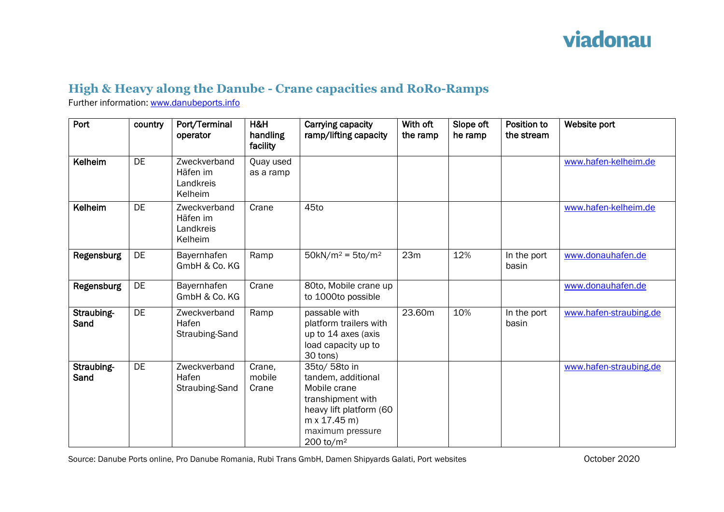## viadonau

## **High & Heavy along the Danube - Crane capacities and RoRo-Ramps**

Further information: [www.danubeports.info](http://www.danubeports.info/)

| Port               | country   | Port/Terminal<br>operator                        | H&H<br>handling<br>facility | Carrying capacity<br>ramp/lifting capacity                                                                                                                    | With oft<br>the ramp | Slope oft<br>he ramp | Position to<br>the stream | Website port           |
|--------------------|-----------|--------------------------------------------------|-----------------------------|---------------------------------------------------------------------------------------------------------------------------------------------------------------|----------------------|----------------------|---------------------------|------------------------|
| Kelheim            | <b>DE</b> | Zweckverband<br>Häfen im<br>Landkreis<br>Kelheim | Quay used<br>as a ramp      |                                                                                                                                                               |                      |                      |                           | www.hafen-kelheim.de   |
| Kelheim            | <b>DE</b> | Zweckverband<br>Häfen im<br>Landkreis<br>Kelheim | Crane                       | 45to                                                                                                                                                          |                      |                      |                           | www.hafen-kelheim.de   |
| Regensburg         | DE        | Bayernhafen<br>GmbH & Co. KG                     | Ramp                        | $50kN/m^2 = 5to/m^2$                                                                                                                                          | 23m                  | 12%                  | In the port<br>basin      | www.donauhafen.de      |
| Regensburg         | DE        | Bayernhafen<br>GmbH & Co. KG                     | Crane                       | 80to, Mobile crane up<br>to 1000to possible                                                                                                                   |                      |                      |                           | www.donauhafen.de      |
| Straubing-<br>Sand | <b>DE</b> | Zweckverband<br>Hafen<br>Straubing-Sand          | Ramp                        | passable with<br>platform trailers with<br>up to 14 axes (axis<br>load capacity up to<br>30 tons)                                                             | 23.60m               | 10%                  | In the port<br>basin      | www.hafen-straubing.de |
| Straubing-<br>Sand | DE        | Zweckverband<br>Hafen<br>Straubing-Sand          | Crane,<br>mobile<br>Crane   | 35to/ 58to in<br>tandem, additional<br>Mobile crane<br>transhipment with<br>heavy lift platform (60<br>$m \times 17.45 m$<br>maximum pressure<br>200 to/ $m2$ |                      |                      |                           | www.hafen-straubing.de |

Source: Danube Ports online, Pro Danube Romania, Rubi Trans GmbH, Damen Shipyards Galati, Port websites **October 2020**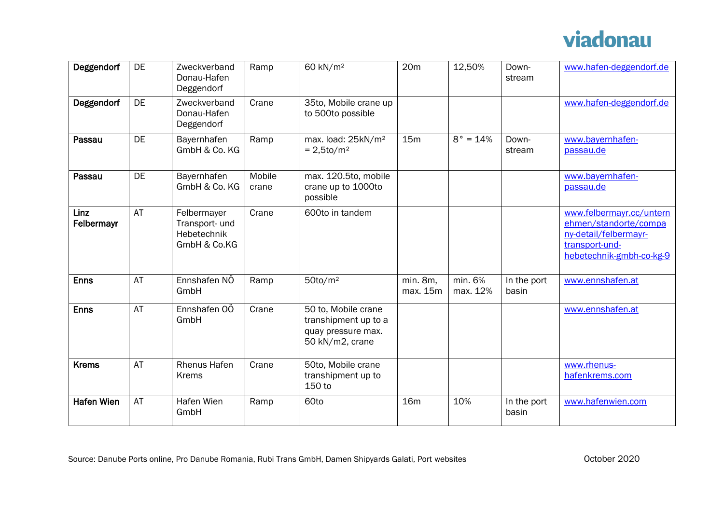## viadonau

| Deggendorf         | DE        | Zweckverband<br>Donau-Hafen<br>Deggendorf                    | Ramp            | $60$ kN/m <sup>2</sup>                                                               | 20 <sub>m</sub>      | 12,50%              | Down-<br>stream      | www.hafen-deggendorf.de                                                                                                  |
|--------------------|-----------|--------------------------------------------------------------|-----------------|--------------------------------------------------------------------------------------|----------------------|---------------------|----------------------|--------------------------------------------------------------------------------------------------------------------------|
| Deggendorf         | DE        | Zweckverband<br>Donau-Hafen<br>Deggendorf                    | Crane           | 35to, Mobile crane up<br>to 500to possible                                           |                      |                     |                      | www.hafen-deggendorf.de                                                                                                  |
| Passau             | DE        | Bayernhafen<br>GmbH & Co. KG                                 | Ramp            | max. load: 25kN/m <sup>2</sup><br>$= 2,5$ to/m <sup>2</sup>                          | 15 <sub>m</sub>      | $8^{\circ} = 14\%$  | Down-<br>stream      | www.bayernhafen-<br>passau.de                                                                                            |
| Passau             | <b>DE</b> | Bayernhafen<br>GmbH & Co. KG                                 | Mobile<br>crane | max. 120.5to, mobile<br>crane up to 1000to<br>possible                               |                      |                     |                      | www.bayernhafen-<br>passau.de                                                                                            |
| Linz<br>Felbermayr | AT        | Felbermayer<br>Transport- und<br>Hebetechnik<br>GmbH & Co.KG | Crane           | 600to in tandem                                                                      |                      |                     |                      | www.felbermayr.cc/untern<br>ehmen/standorte/compa<br>ny-detail/felbermayr-<br>transport-und-<br>hebetechnik-gmbh-co-kg-9 |
| <b>Enns</b>        | AT        | Ennshafen NÖ<br>GmbH                                         | Ramp            | $50$ to/m <sup>2</sup>                                                               | min. 8m,<br>max. 15m | min. 6%<br>max. 12% | In the port<br>basin | www.ennshafen.at                                                                                                         |
| <b>Enns</b>        | AT        | Ennshafen OÖ<br>GmbH                                         | Crane           | 50 to, Mobile crane<br>transhipment up to a<br>quay pressure max.<br>50 kN/m2, crane |                      |                     |                      | www.ennshafen.at                                                                                                         |
| <b>Krems</b>       | AT        | <b>Rhenus Hafen</b><br><b>Krems</b>                          | Crane           | 50to, Mobile crane<br>transhipment up to<br>150 to                                   |                      |                     |                      | www.rhenus-<br>hafenkrems.com                                                                                            |
| <b>Hafen Wien</b>  | AT        | Hafen Wien<br>GmbH                                           | Ramp            | 60to                                                                                 | <b>16m</b>           | 10%                 | In the port<br>basin | www.hafenwien.com                                                                                                        |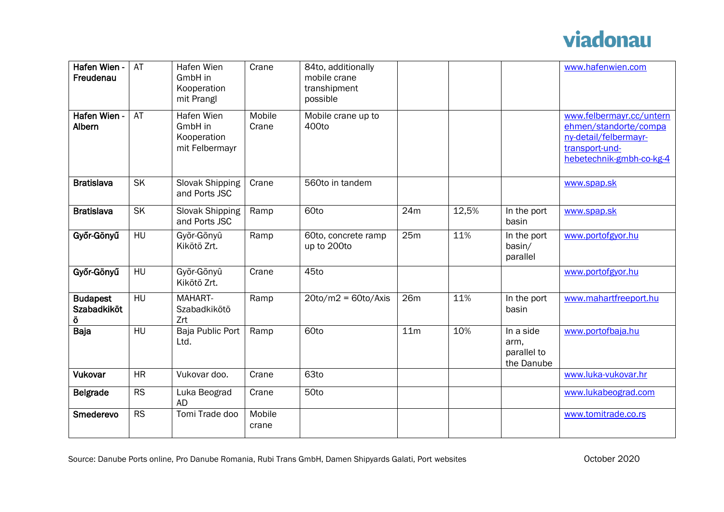

| Hafen Wien -<br>Freudenau                  | AT        | Hafen Wien<br>GmbH in<br>Kooperation<br>mit Prangl     | Crane           | 84to, additionally<br>mobile crane<br>transhipment<br>possible |                 |       |                                                | www.hafenwien.com                                                                                                        |
|--------------------------------------------|-----------|--------------------------------------------------------|-----------------|----------------------------------------------------------------|-----------------|-------|------------------------------------------------|--------------------------------------------------------------------------------------------------------------------------|
| Hafen Wien -<br>Albern                     | AT        | Hafen Wien<br>GmbH in<br>Kooperation<br>mit Felbermayr | Mobile<br>Crane | Mobile crane up to<br>400to                                    |                 |       |                                                | www.felbermayr.cc/untern<br>ehmen/standorte/compa<br>ny-detail/felbermayr-<br>transport-und-<br>hebetechnik-gmbh-co-kg-4 |
| <b>Bratislava</b>                          | <b>SK</b> | Slovak Shipping<br>and Ports JSC                       | Crane           | 560to in tandem                                                |                 |       |                                                | www.spap.sk                                                                                                              |
| <b>Bratislava</b>                          | <b>SK</b> | Slovak Shipping<br>and Ports JSC                       | Ramp            | 60to                                                           | 24m             | 12,5% | In the port<br>basin                           | www.spap.sk                                                                                                              |
| Győr-Gönyű                                 | HU        | Győr-Gõnyû<br>Kikötö Zrt.                              | Ramp            | 60to, concrete ramp<br>up to 200to                             | 25m             | 11%   | In the port<br>basin/<br>parallel              | www.portofgyor.hu                                                                                                        |
| Győr-Gönyű                                 | HU        | Győr-Gõnyû<br>Kikötö Zrt.                              | Crane           | 45to                                                           |                 |       |                                                | www.portofgyor.hu                                                                                                        |
| <b>Budapest</b><br><b>Szabadkiköt</b><br>Ö | HU        | MAHART-<br>Szabadkikötö<br>Zrt                         | Ramp            | $20$ to/m2 = 60to/Axis                                         | 26m             | 11%   | In the port<br>basin                           | www.mahartfreeport.hu                                                                                                    |
| Baja                                       | HU        | Baja Public Port<br>Ltd.                               | Ramp            | 60to                                                           | 11 <sub>m</sub> | 10%   | In a side<br>arm,<br>parallel to<br>the Danube | www.portofbaja.hu                                                                                                        |
| <b>Vukovar</b>                             | <b>HR</b> | Vukovar doo.                                           | Crane           | 63to                                                           |                 |       |                                                | www.luka-vukovar.hr                                                                                                      |
| <b>Belgrade</b>                            | <b>RS</b> | Luka Beograd<br><b>AD</b>                              | Crane           | 50to                                                           |                 |       |                                                | www.lukabeograd.com                                                                                                      |
| Smederevo                                  | <b>RS</b> | Tomi Trade doo                                         | Mobile<br>crane |                                                                |                 |       |                                                | www.tomitrade.co.rs                                                                                                      |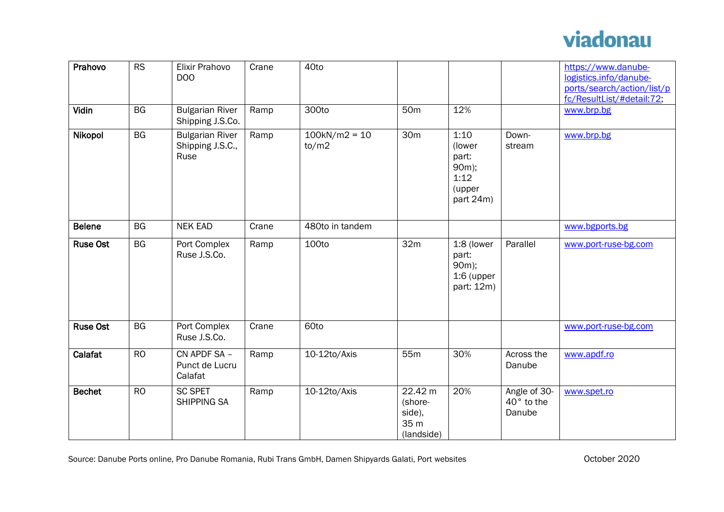

| Prahovo         | RS        | Elixir Prahovo<br>DO <sub>O</sub>                  | Crane | 40to                     |                                                    |                                                                 |                                      | https://www.danube-<br>logistics.info/danube-<br>ports/search/action/list/p<br>fc/ResultList/#detail:72; |
|-----------------|-----------|----------------------------------------------------|-------|--------------------------|----------------------------------------------------|-----------------------------------------------------------------|--------------------------------------|----------------------------------------------------------------------------------------------------------|
| Vidin           | <b>BG</b> | <b>Bulgarian River</b><br>Shipping J.S.Co.         | Ramp  | 300to                    | 50 <sub>m</sub>                                    | 12%                                                             |                                      | www.brp.bg                                                                                               |
| Nikopol         | <b>BG</b> | <b>Bulgarian River</b><br>Shipping J.S.C.,<br>Ruse | Ramp  | $100kN/m2 = 10$<br>to/m2 | 30 <sub>m</sub>                                    | 1:10<br>(lower<br>part:<br>90m);<br>1:12<br>(upper<br>part 24m) | Down-<br>stream                      | www.brp.bg                                                                                               |
| <b>Belene</b>   | <b>BG</b> | <b>NEK EAD</b>                                     | Crane | 480to in tandem          |                                                    |                                                                 |                                      | www.bgports.bg                                                                                           |
| <b>Ruse Ost</b> | <b>BG</b> | Port Complex<br>Ruse J.S.Co.                       | Ramp  | 100to                    | 32m                                                | 1:8 (lower<br>part:<br>$90m$ ;<br>$1:6$ (upper<br>part: 12m)    | Parallel                             | www.port-ruse-bg.com                                                                                     |
| <b>Ruse Ost</b> | <b>BG</b> | Port Complex<br>Ruse J.S.Co.                       | Crane | 60to                     |                                                    |                                                                 |                                      | www.port-ruse-bg.com                                                                                     |
| Calafat         | RO        | CN APDF SA -<br>Punct de Lucru<br>Calafat          | Ramp  | 10-12to/Axis             | 55m                                                | 30%                                                             | Across the<br>Danube                 | www.apdf.ro                                                                                              |
| <b>Bechet</b>   | <b>RO</b> | <b>SC SPET</b><br><b>SHIPPING SA</b>               | Ramp  | 10-12to/Axis             | 22.42 m<br>(shore-<br>side),<br>35 m<br>(landside) | 20%                                                             | Angle of 30-<br>40° to the<br>Danube | www.spet.ro                                                                                              |

Source: Danube Ports online, Pro Danube Romania, Rubi Trans GmbH, Damen Shipyards Galati, Port websites **October 2020**